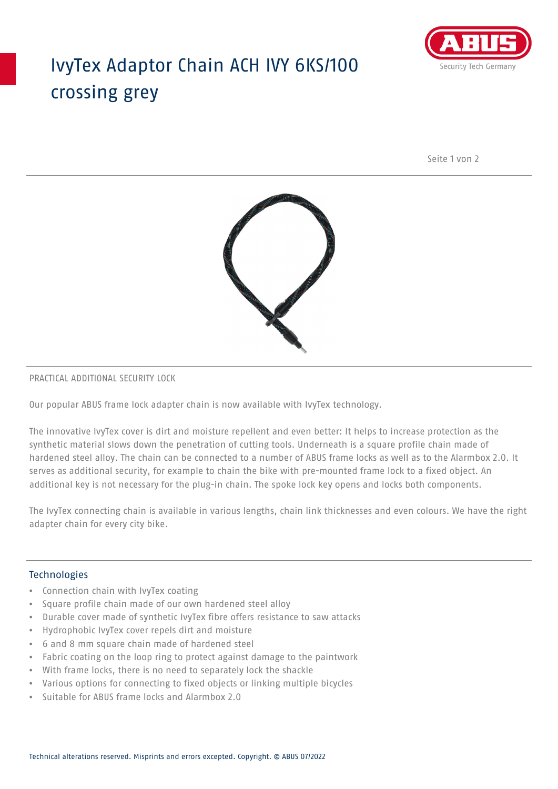## IvyTex Adaptor Chain ACH IVY 6KS/100 crossing grey



Seite 1 von 2



### PRACTICAL ADDITIONAL SECURITY LOCK

Our popular ABUS frame lock adapter chain is now available with IvyTex technology.

The innovative IvyTex cover is dirt and moisture repellent and even better: It helps to increase protection as the synthetic material slows down the penetration of cutting tools. Underneath is a square profile chain made of hardened steel alloy. The chain can be connected to a number of ABUS frame locks as well as to the Alarmbox 2.0. It serves as additional security, for example to chain the bike with pre-mounted frame lock to a fixed object. An additional key is not necessary for the plug-in chain. The spoke lock key opens and locks both components.

The IvyTex connecting chain is available in various lengths, chain link thicknesses and even colours. We have the right adapter chain for every city bike.

### Technologies

- Connection chain with IvyTex coating
- Square profile chain made of our own hardened steel alloy
- Durable cover made of synthetic IvyTex fibre offers resistance to saw attacks
- Hydrophobic IvyTex cover repels dirt and moisture
- 6 and 8 mm square chain made of hardened steel
- Fabric coating on the loop ring to protect against damage to the paintwork
- With frame locks, there is no need to separately lock the shackle
- Various options for connecting to fixed objects or linking multiple bicycles
- Suitable for ABUS frame locks and Alarmbox 2.0